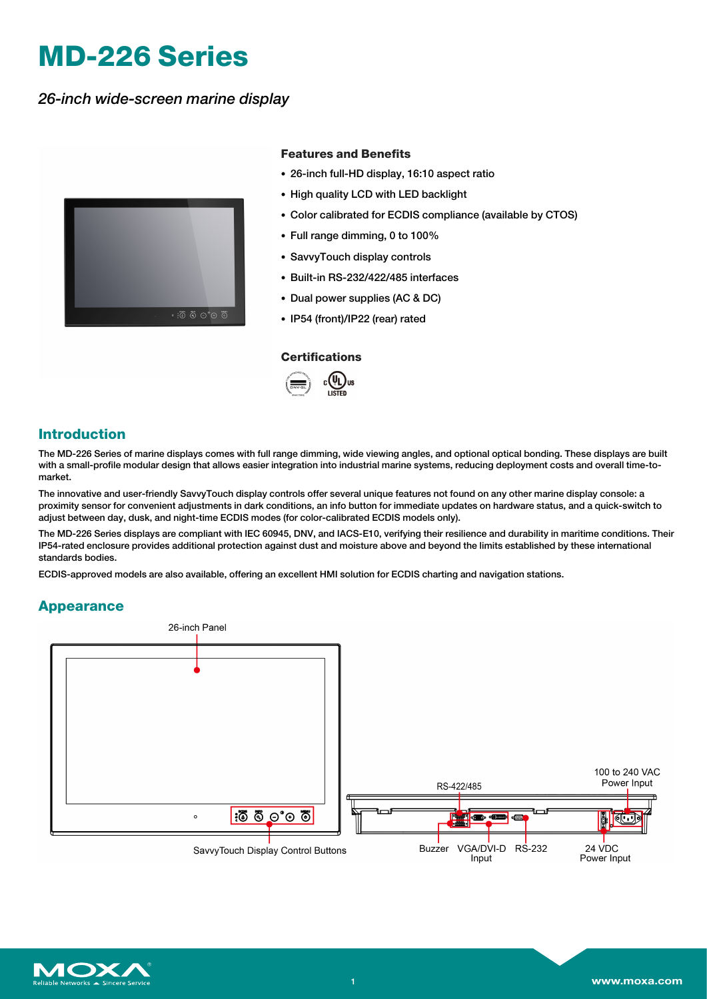# **MD-226 Series**

*26-inch wide-screen marine display*



### **Features and Benefits**

- 26-inch full-HD display, 16:10 aspect ratio
- High quality LCD with LED backlight
- Color calibrated for ECDIS compliance (available by CTOS)
- Full range dimming, 0 to 100%
- SavvyTouch display controls
- Built-in RS-232/422/485 interfaces
- Dual power supplies (AC & DC)
- IP54 (front)/IP22 (rear) rated

#### **Certifications**



### **Introduction**

The MD-226 Series of marine displays comes with full range dimming, wide viewing angles, and optional optical bonding. These displays are built with a small-profile modular design that allows easier integration into industrial marine systems, reducing deployment costs and overall time-tomarket.

The innovative and user-friendly SavvyTouch display controls offer several unique features not found on any other marine display console: a proximity sensor for convenient adjustments in dark conditions, an info button for immediate updates on hardware status, and a quick-switch to adjust between day, dusk, and night-time ECDIS modes (for color-calibrated ECDIS models only).

The MD-226 Series displays are compliant with IEC 60945, DNV, and IACS-E10, verifying their resilience and durability in maritime conditions. Their IP54-rated enclosure provides additional protection against dust and moisture above and beyond the limits established by these international standards bodies.

ECDIS-approved models are also available, offering an excellent HMI solution for ECDIS charting and navigation stations.

### **Appearance**



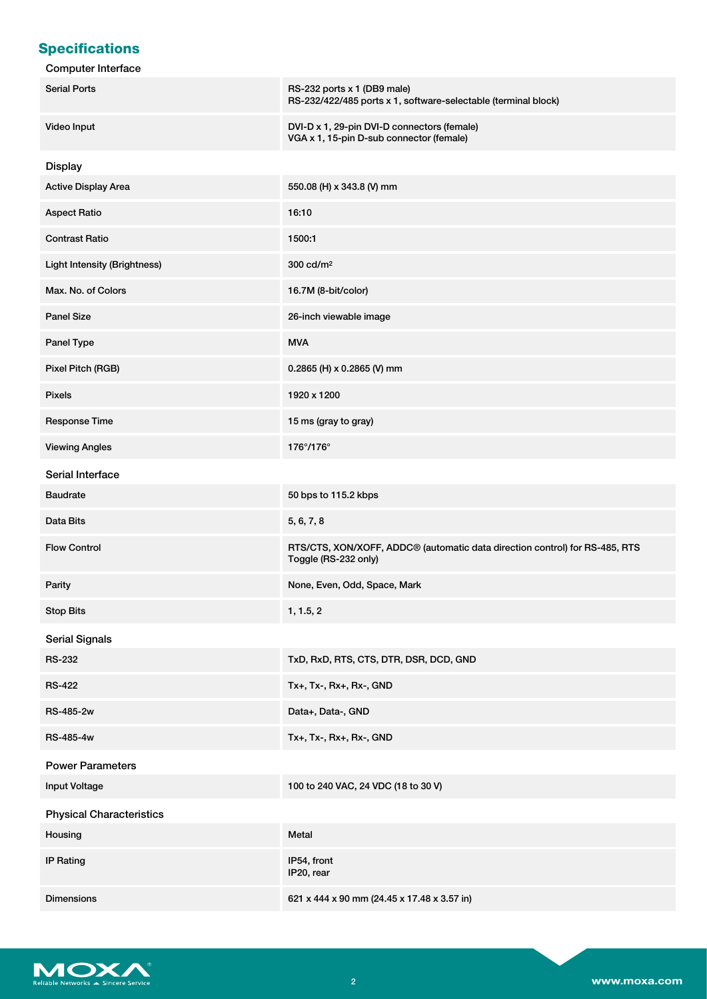# **Specifications**

| <b>Computer Interface</b>           |                                                                                                     |
|-------------------------------------|-----------------------------------------------------------------------------------------------------|
| <b>Serial Ports</b>                 | RS-232 ports x 1 (DB9 male)<br>RS-232/422/485 ports x 1, software-selectable (terminal block)       |
| Video Input                         | DVI-D x 1, 29-pin DVI-D connectors (female)<br>VGA x 1, 15-pin D-sub connector (female)             |
| <b>Display</b>                      |                                                                                                     |
| <b>Active Display Area</b>          | 550.08 (H) x 343.8 (V) mm                                                                           |
| <b>Aspect Ratio</b>                 | 16:10                                                                                               |
| <b>Contrast Ratio</b>               | 1500:1                                                                                              |
| <b>Light Intensity (Brightness)</b> | 300 cd/m <sup>2</sup>                                                                               |
| Max. No. of Colors                  | 16.7M (8-bit/color)                                                                                 |
| <b>Panel Size</b>                   | 26-inch viewable image                                                                              |
| Panel Type                          | <b>MVA</b>                                                                                          |
| Pixel Pitch (RGB)                   | 0.2865 (H) x 0.2865 (V) mm                                                                          |
| <b>Pixels</b>                       | 1920 x 1200                                                                                         |
| Response Time                       | 15 ms (gray to gray)                                                                                |
| <b>Viewing Angles</b>               | 176°/176°                                                                                           |
| Serial Interface                    |                                                                                                     |
| <b>Baudrate</b>                     | 50 bps to 115.2 kbps                                                                                |
| Data Bits                           | 5, 6, 7, 8                                                                                          |
| <b>Flow Control</b>                 | RTS/CTS, XON/XOFF, ADDC® (automatic data direction control) for RS-485, RTS<br>Toggle (RS-232 only) |
| Parity                              | None, Even, Odd, Space, Mark                                                                        |
| <b>Stop Bits</b>                    | 1, 1.5, 2                                                                                           |
| <b>Serial Signals</b>               |                                                                                                     |
| <b>RS-232</b>                       | TxD, RxD, RTS, CTS, DTR, DSR, DCD, GND                                                              |
| <b>RS-422</b>                       | Tx+, Tx-, Rx+, Rx-, GND                                                                             |
| RS-485-2w                           | Data+, Data-, GND                                                                                   |
| <b>RS-485-4w</b>                    | Tx+, Tx-, Rx+, Rx-, GND                                                                             |
| <b>Power Parameters</b>             |                                                                                                     |
| Input Voltage                       | 100 to 240 VAC, 24 VDC (18 to 30 V)                                                                 |
| <b>Physical Characteristics</b>     |                                                                                                     |
| Housing                             | Metal                                                                                               |
| <b>IP Rating</b>                    | IP54, front<br>IP20, rear                                                                           |
| <b>Dimensions</b>                   | 621 x 444 x 90 mm (24.45 x 17.48 x 3.57 in)                                                         |

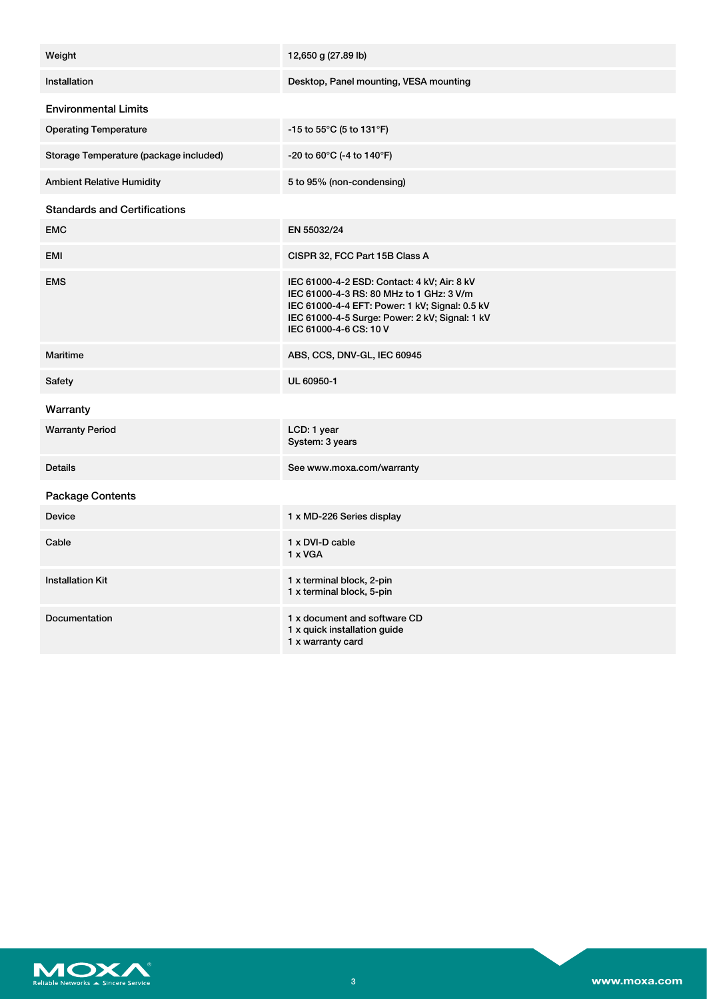| Weight                                 | 12,650 g (27.89 lb)                                                                                                                                                                                                   |
|----------------------------------------|-----------------------------------------------------------------------------------------------------------------------------------------------------------------------------------------------------------------------|
| Installation                           | Desktop, Panel mounting, VESA mounting                                                                                                                                                                                |
| <b>Environmental Limits</b>            |                                                                                                                                                                                                                       |
| <b>Operating Temperature</b>           | -15 to 55 $^{\circ}$ C (5 to 131 $^{\circ}$ F)                                                                                                                                                                        |
| Storage Temperature (package included) | $-20$ to 60 $^{\circ}$ C (-4 to 140 $^{\circ}$ F)                                                                                                                                                                     |
| <b>Ambient Relative Humidity</b>       | 5 to 95% (non-condensing)                                                                                                                                                                                             |
| <b>Standards and Certifications</b>    |                                                                                                                                                                                                                       |
| <b>EMC</b>                             | EN 55032/24                                                                                                                                                                                                           |
| <b>EMI</b>                             | CISPR 32, FCC Part 15B Class A                                                                                                                                                                                        |
| <b>EMS</b>                             | IEC 61000-4-2 ESD: Contact: 4 kV; Air: 8 kV<br>IEC 61000-4-3 RS: 80 MHz to 1 GHz: 3 V/m<br>IEC 61000-4-4 EFT: Power: 1 kV; Signal: 0.5 kV<br>IEC 61000-4-5 Surge: Power: 2 kV; Signal: 1 kV<br>IEC 61000-4-6 CS: 10 V |
| Maritime                               | ABS, CCS, DNV-GL, IEC 60945                                                                                                                                                                                           |
| Safety                                 | UL 60950-1                                                                                                                                                                                                            |
| Warranty                               |                                                                                                                                                                                                                       |
| <b>Warranty Period</b>                 | LCD: 1 year<br>System: 3 years                                                                                                                                                                                        |
| <b>Details</b>                         | See www.moxa.com/warranty                                                                                                                                                                                             |
| Package Contents                       |                                                                                                                                                                                                                       |
| <b>Device</b>                          | 1 x MD-226 Series display                                                                                                                                                                                             |
| Cable                                  | 1 x DVI-D cable<br>1 x VGA                                                                                                                                                                                            |
| <b>Installation Kit</b>                | 1 x terminal block, 2-pin<br>1 x terminal block, 5-pin                                                                                                                                                                |
| Documentation                          | 1 x document and software CD<br>1 x quick installation guide<br>1 x warranty card                                                                                                                                     |